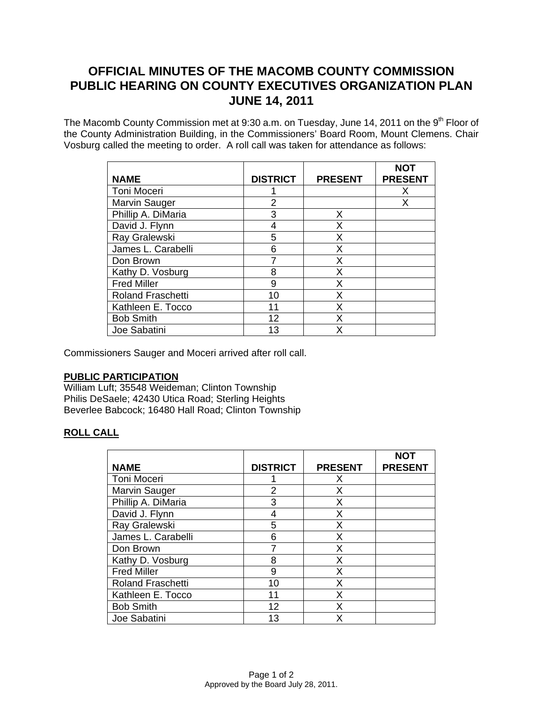# **OFFICIAL MINUTES OF THE MACOMB COUNTY COMMISSION PUBLIC HEARING ON COUNTY EXECUTIVES ORGANIZATION PLAN JUNE 14, 2011**

The Macomb County Commission met at 9:30 a.m. on Tuesday, June 14, 2011 on the 9<sup>th</sup> Floor of the County Administration Building, in the Commissioners' Board Room, Mount Clemens. Chair Vosburg called the meeting to order. A roll call was taken for attendance as follows:

| <b>NAME</b>              | <b>DISTRICT</b> | <b>PRESENT</b> | NOT<br><b>PRESENT</b> |
|--------------------------|-----------------|----------------|-----------------------|
| Toni Moceri              |                 |                | X                     |
| Marvin Sauger            | 2               |                | Х                     |
| Phillip A. DiMaria       | 3               | X              |                       |
| David J. Flynn           |                 | Х              |                       |
| Ray Gralewski            | 5               | X              |                       |
| James L. Carabelli       | 6               | х              |                       |
| Don Brown                |                 | X              |                       |
| Kathy D. Vosburg         | 8               | Х              |                       |
| <b>Fred Miller</b>       | 9               | X              |                       |
| <b>Roland Fraschetti</b> | 10              | Х              |                       |
| Kathleen E. Tocco        | 11              | X              |                       |
| <b>Bob Smith</b>         | 12              | X              |                       |
| Joe Sabatini             | 13              | χ              |                       |

Commissioners Sauger and Moceri arrived after roll call.

## **PUBLIC PARTICIPATION**

William Luft; 35548 Weideman; Clinton Township Philis DeSaele; 42430 Utica Road; Sterling Heights Beverlee Babcock; 16480 Hall Road; Clinton Township

## **ROLL CALL**

|                          |                 |                | <b>NOT</b>     |
|--------------------------|-----------------|----------------|----------------|
| <b>NAME</b>              | <b>DISTRICT</b> | <b>PRESENT</b> | <b>PRESENT</b> |
| <b>Toni Moceri</b>       |                 | X              |                |
| <b>Marvin Sauger</b>     | $\overline{2}$  | X              |                |
| Phillip A. DiMaria       | 3               | X              |                |
| David J. Flynn           | 4               | X              |                |
| Ray Gralewski            | 5               | X              |                |
| James L. Carabelli       | 6               | X              |                |
| Don Brown                |                 | X              |                |
| Kathy D. Vosburg         | 8               | X              |                |
| <b>Fred Miller</b>       | 9               | X              |                |
| <b>Roland Fraschetti</b> | 10              | X              |                |
| Kathleen E. Tocco        | 11              | X              |                |
| <b>Bob Smith</b>         | 12              | Χ              |                |
| Joe Sabatini             | 13              | х              |                |